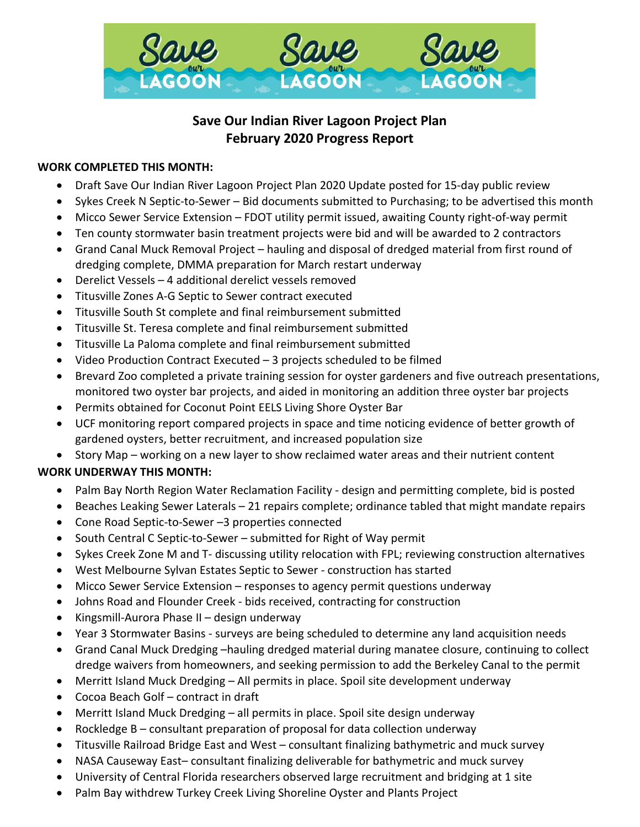

# **Save Our Indian River Lagoon Project Plan February 2020 Progress Report**

## **WORK COMPLETED THIS MONTH:**

- Draft Save Our Indian River Lagoon Project Plan 2020 Update posted for 15-day public review
- Sykes Creek N Septic-to-Sewer Bid documents submitted to Purchasing; to be advertised this month
- Micco Sewer Service Extension FDOT utility permit issued, awaiting County right-of-way permit
- Ten county stormwater basin treatment projects were bid and will be awarded to 2 contractors
- Grand Canal Muck Removal Project hauling and disposal of dredged material from first round of dredging complete, DMMA preparation for March restart underway
- Derelict Vessels 4 additional derelict vessels removed
- Titusville Zones A-G Septic to Sewer contract executed
- Titusville South St complete and final reimbursement submitted
- Titusville St. Teresa complete and final reimbursement submitted
- Titusville La Paloma complete and final reimbursement submitted
- Video Production Contract Executed 3 projects scheduled to be filmed
- Brevard Zoo completed a private training session for oyster gardeners and five outreach presentations, monitored two oyster bar projects, and aided in monitoring an addition three oyster bar projects
- Permits obtained for Coconut Point EELS Living Shore Oyster Bar
- UCF monitoring report compared projects in space and time noticing evidence of better growth of gardened oysters, better recruitment, and increased population size
- Story Map working on a new layer to show reclaimed water areas and their nutrient content

# **WORK UNDERWAY THIS MONTH:**

- Palm Bay North Region Water Reclamation Facility design and permitting complete, bid is posted
- Beaches Leaking Sewer Laterals 21 repairs complete; ordinance tabled that might mandate repairs
- Cone Road Septic-to-Sewer –3 properties connected
- South Central C Septic-to-Sewer submitted for Right of Way permit
- Sykes Creek Zone M and T- discussing utility relocation with FPL; reviewing construction alternatives
- West Melbourne Sylvan Estates Septic to Sewer construction has started
- Micco Sewer Service Extension responses to agency permit questions underway
- Johns Road and Flounder Creek bids received, contracting for construction
- Kingsmill-Aurora Phase II design underway
- Year 3 Stormwater Basins surveys are being scheduled to determine any land acquisition needs
- Grand Canal Muck Dredging –hauling dredged material during manatee closure, continuing to collect dredge waivers from homeowners, and seeking permission to add the Berkeley Canal to the permit
- Merritt Island Muck Dredging All permits in place. Spoil site development underway
- Cocoa Beach Golf contract in draft
- Merritt Island Muck Dredging all permits in place. Spoil site design underway
- Rockledge B consultant preparation of proposal for data collection underway
- Titusville Railroad Bridge East and West consultant finalizing bathymetric and muck survey
- NASA Causeway East– consultant finalizing deliverable for bathymetric and muck survey
- University of Central Florida researchers observed large recruitment and bridging at 1 site
- Palm Bay withdrew Turkey Creek Living Shoreline Oyster and Plants Project